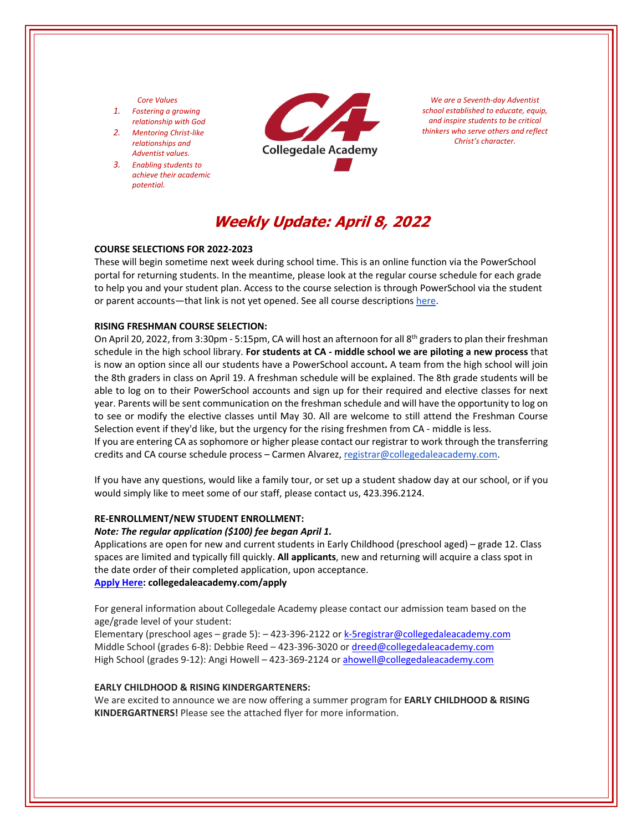## *Core Values*

- *1. Fostering a growing relationship with God*
- *2. Mentoring Christ‐like relationships and Adventist values.*
- *3. Enabling students to achieve their academic potential.*



*We are a Seventh‐day Adventist school established to educate, equip, and inspire students to be critical thinkers who serve others and reflect Christ's character.*

# **Weekly Update: April 8, 2022**

## **COURSE SELECTIONS FOR 2022‐2023**

These will begin sometime next week during school time. This is an online function via the PowerSchool portal for returning students. In the meantime, please look at the regular course schedule for each grade to help you and your student plan. Access to the course selection is through PowerSchool via the student or parent accounts—that link is not yet opened. See all course descriptions [here.](https://www.collegedaleacademy.com/welcome-to-ca/academics/course-sequence/)

#### **RISING FRESHMAN COURSE SELECTION:**

On April 20, 2022, from 3:30pm - 5:15pm, CA will host an afternoon for all 8<sup>th</sup> graders to plan their freshman schedule in the high school library. **For students at CA ‐ middle school we are piloting a new process** that is now an option since all our students have a PowerSchool account**.** A team from the high school will join the 8th graders in class on April 19. A freshman schedule will be explained. The 8th grade students will be able to log on to their PowerSchool accounts and sign up for their required and elective classes for next year. Parents will be sent communication on the freshman schedule and will have the opportunity to log on to see or modify the elective classes until May 30. All are welcome to still attend the Freshman Course Selection event if they'd like, but the urgency for the rising freshmen from CA - middle is less. If you are entering CA as sophomore or higher please contact our registrar to work through the transferring

credits and CA course schedule process – Carmen Alvarez, registrar@collegedaleacademy.com.

If you have any questions, would like a family tour, or set up a student shadow day at our school, or if you would simply like to meet some of our staff, please contact us, 423.396.2124.

## **RE‐ENROLLMENT/NEW STUDENT ENROLLMENT:**

## *Note: The regular application (\$100) fee began April 1.*

Applications are open for new and current students in Early Childhood (preschool aged) – grade 12. Class spaces are limited and typically fill quickly. **All applicants**, new and returning will acquire a class spot in the date order of their completed application, upon acceptance. **[Apply](https://www.collegedaleacademy.com/apply/) Here: collegedaleacademy.com/apply**

For general information about Collegedale Academy please contact our admission team based on the age/grade level of your student:

Elementary (preschool ages – grade 5): – 423-396-2122 or k-5registrar@collegedaleacademy.com Middle School (grades 6‐8): Debbie Reed – 423‐396‐3020 or dreed@collegedaleacademy.com High School (grades 9‐12): Angi Howell – 423‐369‐2124 or ahowell@collegedaleacademy.com

#### **EARLY CHILDHOOD & RISING KINDERGARTENERS:**

We are excited to announce we are now offering a summer program for **EARLY CHILDHOOD & RISING KINDERGARTNERS!** Please see the attached flyer for more information.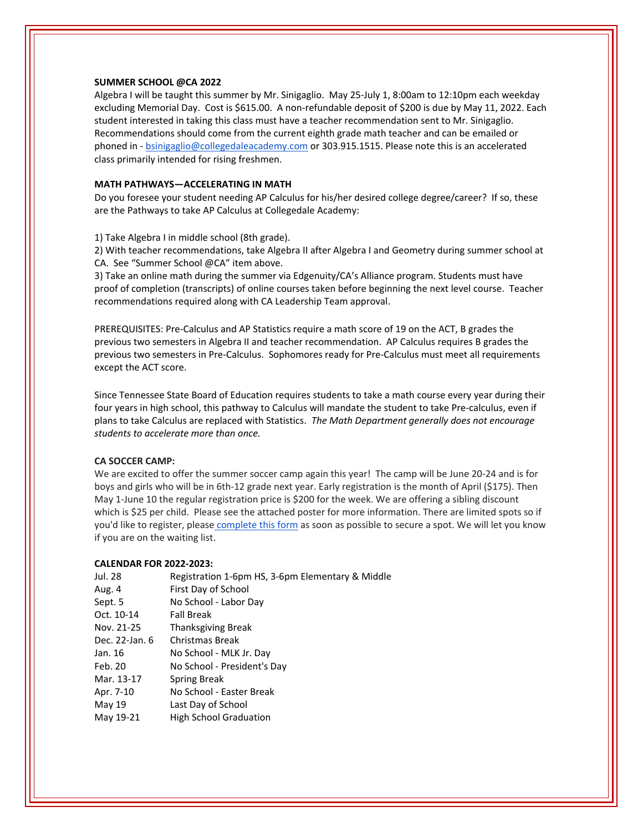### **SUMMER SCHOOL @CA 2022**

Algebra I will be taught this summer by Mr. Sinigaglio. May 25‐July 1, 8:00am to 12:10pm each weekday excluding Memorial Day. Cost is \$615.00. A non-refundable deposit of \$200 is due by May 11, 2022. Each student interested in taking this class must have a teacher recommendation sent to Mr. Sinigaglio. Recommendations should come from the current eighth grade math teacher and can be emailed or phoned in ‐ bsinigaglio@collegedaleacademy.com or 303.915.1515. Please note this is an accelerated class primarily intended for rising freshmen.

## **MATH PATHWAYS—ACCELERATING IN MATH**

Do you foresee your student needing AP Calculus for his/her desired college degree/career? If so, these are the Pathways to take AP Calculus at Collegedale Academy:

1) Take Algebra I in middle school (8th grade).

2) With teacher recommendations, take Algebra II after Algebra I and Geometry during summer school at CA. See "Summer School @CA" item above.

3) Take an online math during the summer via Edgenuity/CA's Alliance program. Students must have proof of completion (transcripts) of online courses taken before beginning the next level course. Teacher recommendations required along with CA Leadership Team approval.

PREREQUISITES: Pre‐Calculus and AP Statistics require a math score of 19 on the ACT, B grades the previous two semesters in Algebra II and teacher recommendation. AP Calculus requires B grades the previous two semesters in Pre‐Calculus. Sophomores ready for Pre‐Calculus must meet all requirements except the ACT score.

Since Tennessee State Board of Education requires students to take a math course every year during their four years in high school, this pathway to Calculus will mandate the student to take Pre‐calculus, even if plans to take Calculus are replaced with Statistics. *The Math Department generally does not encourage students to accelerate more than once.* 

### **CA SOCCER CAMP:**

We are excited to offer the summer soccer camp again this year! The camp will be June 20‐24 and is for boys and girls who will be in 6th‐12 grade next year. Early registration is the month of April (\$175). Then May 1-June 10 the regular registration price is \$200 for the week. We are offering a sibling discount which is \$25 per child. Please see the attached poster for more information. There are limited spots so if you'd like to register, please [complete](https://docs.google.com/forms/d/e/1FAIpQLSd7F9MiyyKrREO9wjKqHyqIU2PvgvAk4mvqSDD298h4UqnFjA/viewform) this form as soon as possible to secure a spot. We will let you know if you are on the waiting list.

#### **CALENDAR FOR 2022‐2023:**

| Jul. 28        | Registration 1-6pm HS, 3-6pm Elementary & Middle |
|----------------|--------------------------------------------------|
| Aug. 4         | First Day of School                              |
| Sept. 5        | No School - Labor Day                            |
| Oct. 10-14     | <b>Fall Break</b>                                |
| Nov. 21-25     | <b>Thanksgiving Break</b>                        |
| Dec. 22-Jan. 6 | Christmas Break                                  |
| Jan. 16        | No School - MLK Jr. Day                          |
| Feb. 20        | No School - President's Day                      |
| Mar. 13-17     | Spring Break                                     |
| Apr. 7-10      | No School - Easter Break                         |
| May 19         | Last Day of School                               |
| May 19-21      | <b>High School Graduation</b>                    |
|                |                                                  |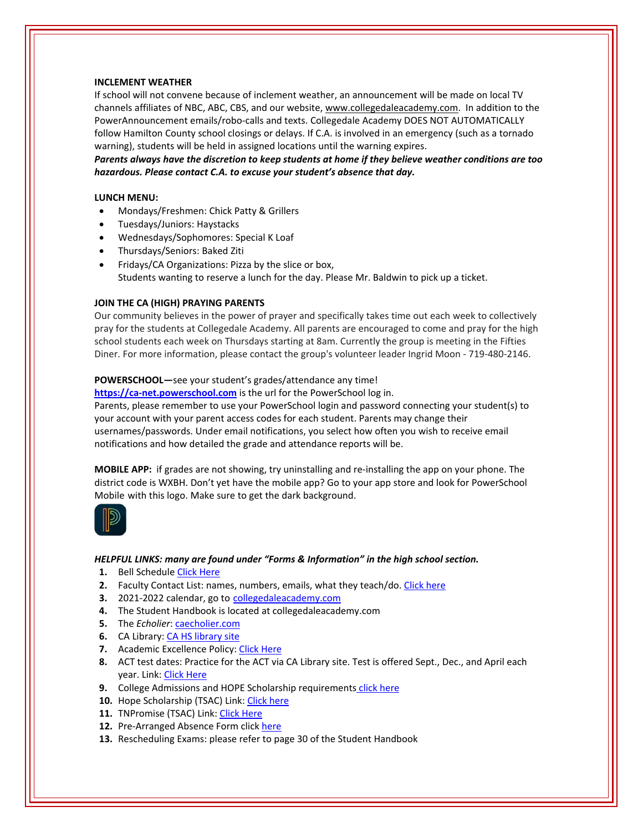## **INCLEMENT WEATHER**

If school will not convene because of inclement weather, an announcement will be made on local TV channels affiliates of NBC, ABC, CBS, and our website, www.collegedaleacademy.com. In addition to the PowerAnnouncement emails/robo‐calls and texts. Collegedale Academy DOES NOT AUTOMATICALLY follow Hamilton County school closings or delays. If C.A. is involved in an emergency (such as a tornado warning), students will be held in assigned locations until the warning expires.

*Parents always have the discretion to keep students at home if they believe weather conditions are too hazardous. Please contact C.A. to excuse your student's absence that day.*

#### **LUNCH MENU:**

- Mondays/Freshmen: Chick Patty & Grillers
- Tuesdays/Juniors: Haystacks
- Wednesdays/Sophomores: Special K Loaf
- Thursdays/Seniors: Baked Ziti
- Fridays/CA Organizations: Pizza by the slice or box, Students wanting to reserve a lunch for the day. Please Mr. Baldwin to pick up a ticket.

### **JOIN THE CA (HIGH) PRAYING PARENTS**

Our community believes in the power of prayer and specifically takes time out each week to collectively pray for the students at Collegedale Academy. All parents are encouraged to come and pray for the high school students each week on Thursdays starting at 8am. Currently the group is meeting in the Fifties Diner. For more information, please contact the group's volunteer leader Ingrid Moon ‐ 719‐480‐2146.

#### **POWERSCHOOL—**see your student's grades/attendance any time!

https://ca-[net.powerschool.com](https://ca-net.powerschool.com/public/) is the url for the PowerSchool log in. Parents, please remember to use your PowerSchool login and password connecting your student(s) to your account with your parent access codes for each student. Parents may change their usernames/passwords. Under email notifications, you select how often you wish to receive email

notifications and how detailed the grade and attendance reports will be.

**MOBILE APP:** if grades are not showing, try uninstalling and re‐installing the app on your phone. The district code is WXBH. Don't yet have the mobile app? Go to your app store and look for PowerSchool Mobile with this logo. Make sure to get the dark background.



#### *HELPFUL LINKS: many are found under "Forms & Information" in the high school section.*

- 1. Bell Schedule Click [Here](https://www.collegedaleacademy.com/wp-content/uploads/2018/08/Bell-Schedule.pdf)
- **2.** Faculty Contact List: names, numbers, emails, what they teach/do. [Click](https://www.collegedaleacademy.com/wp-content/uploads/2021/08/faculty-only-2021-2022.pdf) here
- **3.** 2021-2022 calendar, go to [collegedaleacademy.com](https://www.collegedaleacademy.com/calendars/)
- **4.** The Student Handbook is located at collegedaleacademy.com
- **5.** The *Echolier*: [caecholier.com](https://caecholier.com/)
- **6.** CA Library: CA HS [library](https://southernuniongcc.mlasolutions.com/m5/catalog/(S(d1snx2nmpnoxelg0u01sbuxl))/default.aspx?installation=CDA) site
- **7.** Academic Excellence Policy: Click [Here](https://www.collegedaleacademy.com/wp-content/uploads/2018/08/Academic-Excellence-Policy.pdf)
- **8.** ACT test dates: Practice for the ACT via CA Library site. Test is offered Sept., Dec., and April each year. Link: Click [Here](https://www.act.org/)
- **9.** College Admissions and HOPE Scholarship requirements click [here](https://www.collegedaleacademy.com/wp-content/uploads/2019/08/TSAC-Scholarship-Info.pdf)
- 10. Hope Scholarship (TSAC) Link: Click [here](https://www.tn.gov/collegepays/money-for-college/tn-education-lottery-programs/tennessee-hope-scholarship.html)
- **11.** TNPromise (TSAC) Link: Click [Here](https://www.tn.gov/tnpromise.html)
- 12. Pre-Arranged Absence Form click [here](https://www.collegedaleacademy.com/wp-content/uploads/2016/11/Class-Absence-Request-Form-May-2017.pdf)
- **13.** Rescheduling Exams: please refer to page 30 of the Student Handbook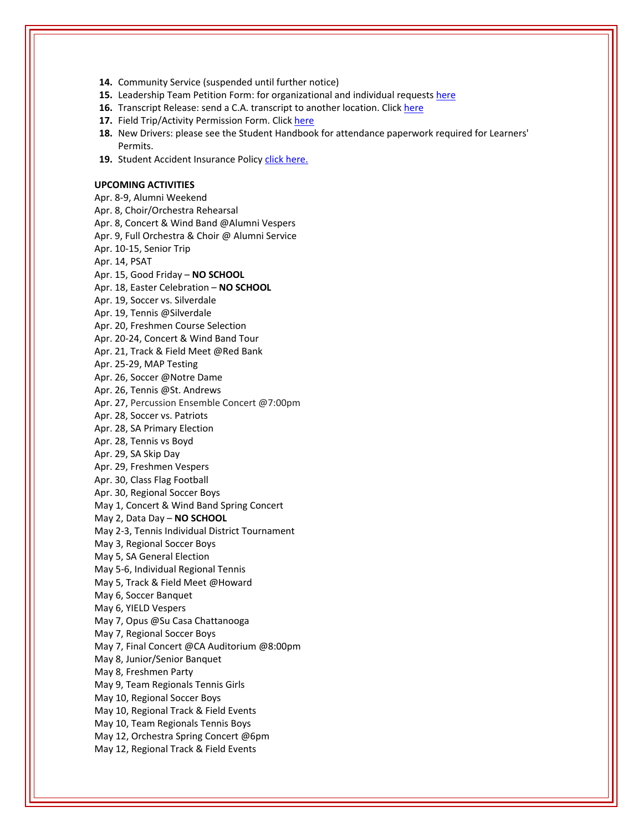**14.** Community Service (suspended until further notice)

- **15.** Leadership Team Petition Form: for organizational and individual requests [here](https://www.collegedaleacademy.com/wp-content/uploads/2019/08/Leadership-Petition-SSch.pdf)
- **16.** Transcript Release: send a C.A. transcript to another location. Click [here](https://collegedaleacademy.wufoo.com/forms/q1bmc4gg10gftjs/)
- **17.** Field Trip/Activity Permission Form. Click [here](https://www.collegedaleacademy.com/wp-content/uploads/2018/08/Field-Trip-form.pdf)
- **18.** New Drivers: please see the Student Handbook for attendance paperwork required for Learners' Permits.
- 19. Student Accident Insurance Policy click [here.](https://adventistrisk.org/en-us/insurance/nad/k-12-student-accident)

**UPCOMING ACTIVITIES** Apr. 8‐9, Alumni Weekend Apr. 8, Choir/Orchestra Rehearsal Apr. 8, Concert & Wind Band @Alumni Vespers Apr. 9, Full Orchestra & Choir @ Alumni Service Apr. 10‐15, Senior Trip Apr. 14, PSAT Apr. 15, Good Friday – **NO SCHOOL** Apr. 18, Easter Celebration – **NO SCHOOL** Apr. 19, Soccer vs. Silverdale Apr. 19, Tennis @Silverdale Apr. 20, Freshmen Course Selection Apr. 20‐24, Concert & Wind Band Tour Apr. 21, Track & Field Meet @Red Bank Apr. 25‐29, MAP Testing Apr. 26, Soccer @Notre Dame Apr. 26, Tennis @St. Andrews Apr. 27, Percussion Ensemble Concert @7:00pm Apr. 28, Soccer vs. Patriots Apr. 28, SA Primary Election Apr. 28, Tennis vs Boyd Apr. 29, SA Skip Day Apr. 29, Freshmen Vespers Apr. 30, Class Flag Football Apr. 30, Regional Soccer Boys May 1, Concert & Wind Band Spring Concert May 2, Data Day – **NO SCHOOL** May 2‐3, Tennis Individual District Tournament May 3, Regional Soccer Boys May 5, SA General Election May 5‐6, Individual Regional Tennis May 5, Track & Field Meet @Howard May 6, Soccer Banquet May 6, YIELD Vespers May 7, Opus @Su Casa Chattanooga May 7, Regional Soccer Boys May 7, Final Concert @CA Auditorium @8:00pm May 8, Junior/Senior Banquet May 8, Freshmen Party May 9, Team Regionals Tennis Girls May 10, Regional Soccer Boys May 10, Regional Track & Field Events May 10, Team Regionals Tennis Boys May 12, Orchestra Spring Concert @6pm May 12, Regional Track & Field Events